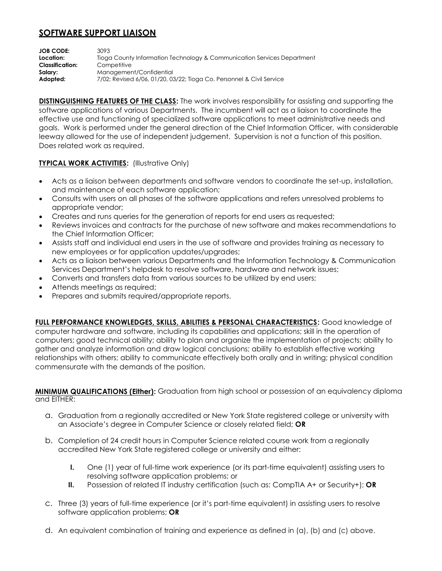## **SOFTWARE SUPPORT LIAISON**

**JOB CODE:** 3093 **Location:** Tioga County Information Technology & Communication Services Department **Classification:** Competitive **Salary: Management/Confidential Adopted:** 7/02; Revised 6/06, 01/20, 03/22; Tioga Co. Personnel & Civil Service

**DISTINGUISHING FEATURES OF THE CLASS:** The work involves responsibility for assisting and supporting the software applications of various Departments. The incumbent will act as a liaison to coordinate the effective use and functioning of specialized software applications to meet administrative needs and goals. Work is performed under the general direction of the Chief Information Officer, with considerable leeway allowed for the use of independent judgement. Supervision is not a function of this position. Does related work as required.

## **TYPICAL WORK ACTIVITIES: (Illustrative Only)**

- Acts as a liaison between departments and software vendors to coordinate the set-up, installation, and maintenance of each software application;
- Consults with users on all phases of the software applications and refers unresolved problems to appropriate vendor;
- Creates and runs queries for the generation of reports for end users as requested;
- Reviews invoices and contracts for the purchase of new software and makes recommendations to the Chief Information Officer;
- Assists staff and individual end users in the use of software and provides training as necessary to new employees or for application updates/upgrades;
- Acts as a liaison between various Departments and the Information Technology & Communication Services Department's helpdesk to resolve software, hardware and network issues;
- Converts and transfers data from various sources to be utilized by end users;
- Attends meetings as required;
- Prepares and submits required/appropriate reports.

**FULL PERFORMANCE KNOWLEDGES, SKILLS, ABILITIES & PERSONAL CHARACTERISTICS:** Good knowledge of computer hardware and software, including its capabilities and applications; skill in the operation of computers; good technical ability; ability to plan and organize the implementation of projects; ability to gather and analyze information and draw logical conclusions; ability to establish effective working relationships with others; ability to communicate effectively both orally and in writing; physical condition commensurate with the demands of the position.

**MINIMUM QUALIFICATIONS (Either):** Graduation from high school or possession of an equivalency diploma and EITHER:

- a. Graduation from a regionally accredited or New York State registered college or university with an Associate's degree in Computer Science or closely related field; **OR**
- b. Completion of 24 credit hours in Computer Science related course work from a regionally accredited New York State registered college or university and either:
	- **I.** One (1) year of full-time work experience (or its part-time equivalent) assisting users to resolving software application problems; or
	- **II.** Possession of related IT industry certification (such as: CompTIA A+ or Security+); **OR**
- c. Three (3) years of full-time experience (or it's part-time equivalent) in assisting users to resolve software application problems; **OR**
- d. An equivalent combination of training and experience as defined in (a), (b) and (c) above.